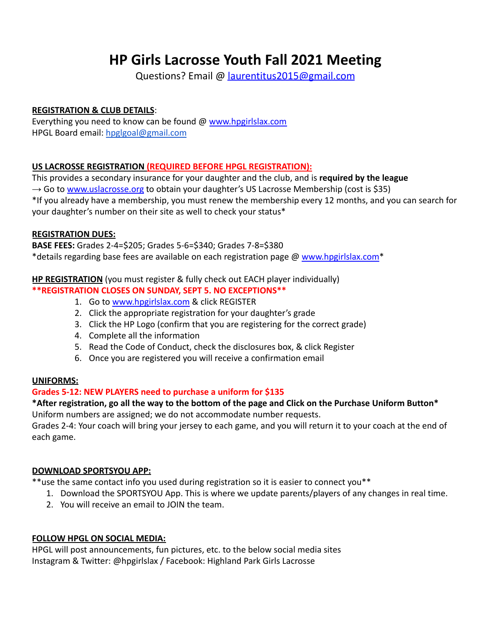# **HP Girls Lacrosse Youth Fall 2021 Meeting**

Questions? Email @ laurentitus2015@gmail.com

## **REGISTRATION & CLUB DETAILS**:

Everything you need to know can be found @ [www.hpgirlslax.com](http://www.hpgirlslax.com) HPGL Board email: [hpglgoal@gmail.com](mailto:hpglgoal@gmail.com)

## **US LACROSSE REGISTRATION (REQUIRED BEFORE HPGL REGISTRATION):**

This provides a secondary insurance for your daughter and the club, and is **required by the league**  $\rightarrow$  Go to [www.uslacrosse.org](http://www.uslacrosse.org) to obtain your daughter's US Lacrosse Membership (cost is \$35) \*If you already have a membership, you must renew the membership every 12 months, and you can search for your daughter's number on their site as well to check your status\*

## **REGISTRATION DUES:**

**BASE FEES:** Grades 2-4=\$205; Grades 5-6=\$340; Grades 7-8=\$380 \*details regarding base fees are available on each registration page @ [www.hpgirlslax.com](http://www.hpgirlslax.com)\*

## **HP REGISTRATION** (you must register & fully check out EACH player individually)

## **\*\*REGISTRATION CLOSES ON SUNDAY, SEPT 5. NO EXCEPTIONS\*\***

- 1. Go to [www.hpgirlslax.com](http://www.hpgirlslax.com) & click REGISTER
- 2. Click the appropriate registration for your daughter's grade
- 3. Click the HP Logo (confirm that you are registering for the correct grade)
- 4. Complete all the information
- 5. Read the Code of Conduct, check the disclosures box, & click Register
- 6. Once you are registered you will receive a confirmation email

## **UNIFORMS:**

## **Grades 5-12: NEW PLAYERS need to purchase a uniform for \$135**

## **\*After registration, go all the way to the bottom of the page and Click on the Purchase Uniform Button\***

Uniform numbers are assigned; we do not accommodate number requests.

Grades 2-4: Your coach will bring your jersey to each game, and you will return it to your coach at the end of each game.

## **DOWNLOAD SPORTSYOU APP:**

\*\*use the same contact info you used during registration so it is easier to connect you\*\*

- 1. Download the SPORTSYOU App. This is where we update parents/players of any changes in real time.
- 2. You will receive an email to JOIN the team.

## **FOLLOW HPGL ON SOCIAL MEDIA:**

HPGL will post announcements, fun pictures, etc. to the below social media sites Instagram & Twitter: @hpgirlslax / Facebook: Highland Park Girls Lacrosse